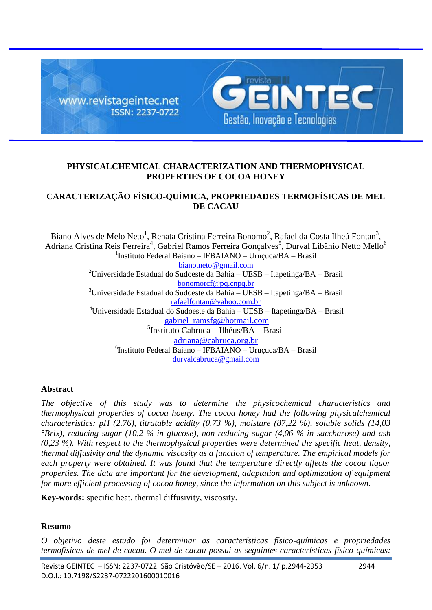

# **PHYSICALCHEMICAL CHARACTERIZATION AND THERMOPHYSICAL PROPERTIES OF COCOA HONEY**

# **CARACTERIZAÇÃO FÍSICO-QUÍMICA, PROPRIEDADES TERMOFÍSICAS DE MEL DE CACAU**

Biano Alves de Melo Neto<sup>1</sup>, Renata Cristina Ferreira Bonomo<sup>2</sup>, Rafael da Costa Ilheú Fontan<sup>3</sup>, Adriana Cristina Reis Ferreira $^4$ , Gabriel Ramos Ferreira Gonçalves $^5$ , Durval Libânio Netto Mello $^6$ <sup>1</sup>Instituto Federal Baiano – IFBAIANO – Uruçuca/BA – Brasil [biano.neto@gmail.com](mailto:biano.neto@gmail.com) <sup>2</sup>Universidade Estadual do Sudoeste da Bahia – UESB – Itapetinga/BA – Brasil [bonomorcf@pq.cnpq.br](mailto:bonomorcf@pq.cnpq.br)  $3$ Universidade Estadual do Sudoeste da Bahia – UESB – Itapetinga/BA – Brasil [rafaelfontan@yahoo.com.br](mailto:rafaelfontan@yahoo.com.br) <sup>4</sup>Universidade Estadual do Sudoeste da Bahia – UESB – Itapetinga/BA – Brasil [gabriel\\_ramsfg@hotmail.com](mailto:gabriel_ramsfg@hotmail.com) 5 Instituto Cabruca – Ilhéus/BA – Brasil [adriana@cabruca.org.br](mailto:adriana@cabruca.org.br) 6 Instituto Federal Baiano – IFBAIANO – Uruçuca/BA – Brasil [durvalcabruca@gmail.com](mailto:durvalcabruca@gmail.com)

# **Abstract**

*The objective of this study was to determine the physicochemical characteristics and thermophysical properties of cocoa hoeny. The cocoa honey had the following physicalchemical characteristics: pH (2.76), titratable acidity (0.73 %), moisture (87,22 %), soluble solids (14,03 °Brix), reducing sugar (10,2 % in glucose), non-reducing sugar (4,06 % in saccharose) and ash (0,23 %). With respect to the thermophysical properties were determined the specific heat, density, thermal diffusivity and the dynamic viscosity as a function of temperature. The empirical models for each property were obtained. It was found that the temperature directly affects the cocoa liquor properties. The data are important for the development, adaptation and optimization of equipment for more efficient processing of cocoa honey, since the information on this subject is unknown.*

**Key-words:** specific heat, thermal diffusivity, viscosity.

# **Resumo**

*O objetivo deste estudo foi determinar as características físico-químicas e propriedades termofísicas de mel de cacau. O mel de cacau possui as seguintes características físico-químicas:*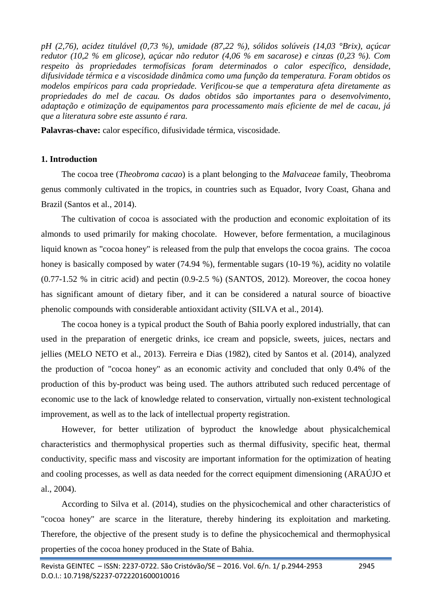*pH (2,76), acidez titulável (0,73 %), umidade (87,22 %), sólidos solúveis (14,03 °Brix), açúcar redutor (10,2 % em glicose), açúcar não redutor (4,06 % em sacarose) e cinzas (0,23 %). Com respeito às propriedades termofísicas foram determinados o calor específico, densidade, difusividade térmica e a viscosidade dinâmica como uma função da temperatura. Foram obtidos os modelos empíricos para cada propriedade. Verificou-se que a temperatura afeta diretamente as propriedades do mel de cacau. Os dados obtidos são importantes para o desenvolvimento, adaptação e otimização de equipamentos para processamento mais eficiente de mel de cacau, já que a literatura sobre este assunto é rara.*

**Palavras-chave:** calor específico, difusividade térmica, viscosidade.

# **1. Introduction**

The cocoa tree (*Theobroma cacao*) is a plant belonging to the *Malvaceae* family, Theobroma genus commonly cultivated in the tropics, in countries such as Equador, Ivory Coast, Ghana and Brazil (Santos et al., 2014).

The cultivation of cocoa is associated with the production and economic exploitation of its almonds to used primarily for making chocolate. However, before fermentation, a mucilaginous liquid known as "cocoa honey" is released from the pulp that envelops the cocoa grains. The cocoa honey is basically composed by water (74.94 %), fermentable sugars (10-19 %), acidity no volatile (0.77-1.52 % in citric acid) and pectin (0.9-2.5 %) (SANTOS, 2012). Moreover, the cocoa honey has significant amount of dietary fiber, and it can be considered a natural source of bioactive phenolic compounds with considerable antioxidant activity (SILVA et al., 2014).

The cocoa honey is a typical product the South of Bahia poorly explored industrially, that can used in the preparation of energetic drinks, ice cream and popsicle, sweets, juices, nectars and jellies (MELO NETO et al., 2013). Ferreira e Dias (1982), cited by Santos et al. (2014), analyzed the production of "cocoa honey" as an economic activity and concluded that only 0.4% of the production of this by-product was being used. The authors attributed such reduced percentage of economic use to the lack of knowledge related to conservation, virtually non-existent technological improvement, as well as to the lack of intellectual property registration.

However, for better utilization of byproduct the knowledge about physicalchemical characteristics and thermophysical properties such as thermal diffusivity, specific heat, thermal conductivity, specific mass and viscosity are important information for the optimization of heating and cooling processes, as well as data needed for the correct equipment dimensioning (ARAÚJO et al., 2004).

According to Silva et al. (2014), studies on the physicochemical and other characteristics of "cocoa honey" are scarce in the literature, thereby hindering its exploitation and marketing. Therefore, the objective of the present study is to define the physicochemical and thermophysical properties of the cocoa honey produced in the State of Bahia.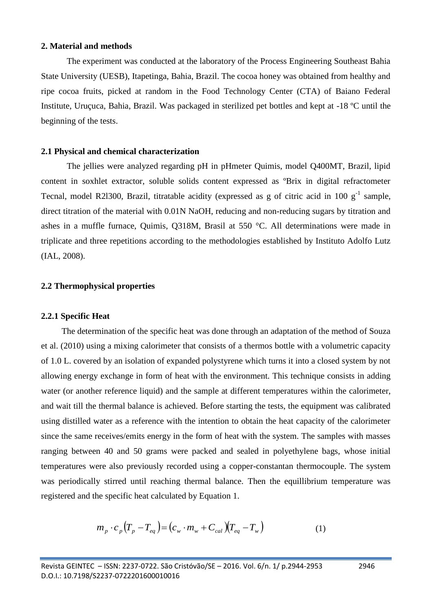### **2. Material and methods**

The experiment was conducted at the laboratory of the Process Engineering Southeast Bahia State University (UESB), Itapetinga, Bahia, Brazil. The cocoa honey was obtained from healthy and ripe cocoa fruits, picked at random in the Food Technology Center (CTA) of Baiano Federal Institute, Uruçuca, Bahia, Brazil. Was packaged in sterilized pet bottles and kept at -18 ºC until the beginning of the tests.

### **2.1 Physical and chemical characterization**

The jellies were analyzed regarding pH in pHmeter Quimis, model Q400MT, Brazil, lipid content in soxhlet extractor, soluble solids content expressed as ºBrix in digital refractometer Tecnal, model R21300, Brazil, titratable acidity (expressed as g of citric acid in 100  $g^{-1}$  sample, direct titration of the material with 0.01N NaOH, reducing and non-reducing sugars by titration and ashes in a muffle furnace, Quimis, Q318M, Brasil at 550 °C. All determinations were made in triplicate and three repetitions according to the methodologies established by Instituto Adolfo Lutz (IAL, 2008).

## **2.2 Thermophysical properties**

#### **2.2.1 Specific Heat**

The determination of the specific heat was done through an adaptation of the method of Souza et al. (2010) using a mixing calorimeter that consists of a thermos bottle with a volumetric capacity of 1.0 L. covered by an isolation of expanded polystyrene which turns it into a closed system by not allowing energy exchange in form of heat with the environment. This technique consists in adding water (or another reference liquid) and the sample at different temperatures within the calorimeter, and wait till the thermal balance is achieved. Before starting the tests, the equipment was calibrated using distilled water as a reference with the intention to obtain the heat capacity of the calorimeter since the same receives/emits energy in the form of heat with the system. The samples with masses ranging between 40 and 50 grams were packed and sealed in polyethylene bags, whose initial temperatures were also previously recorded using a copper-constantan thermocouple. The system was periodically stirred until reaching thermal balance. Then the equillibrium temperature was registered and the specific heat calculated by Equation 1.

$$
m_p \cdot c_p \left( T_p - T_{eq} \right) = \left( c_w \cdot m_w + C_{cal} \right) \left( T_{eq} - T_w \right) \tag{1}
$$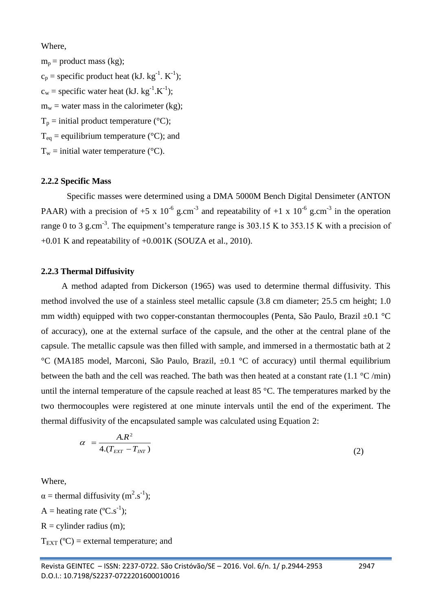Where,

 $m_p$  = product mass (kg);  $c_p$  = specific product heat (kJ. kg<sup>-1</sup>. K<sup>-1</sup>);  $c_w$  = specific water heat (kJ. kg<sup>-1</sup>.K<sup>-1</sup>);  $m_w$  = water mass in the calorimeter (kg);  $T_p$  = initial product temperature (°C);  $T_{eq}$  = equilibrium temperature (°C); and  $T_w$  = initial water temperature (°C).

## **2.2.2 Specific Mass**

Specific masses were determined using a DMA 5000M Bench Digital Densimeter (ANTON PAAR) with a precision of +5 x 10<sup>-6</sup> g.cm<sup>-3</sup> and repeatability of +1 x 10<sup>-6</sup> g.cm<sup>-3</sup> in the operation range 0 to 3 g.cm<sup>-3</sup>. The equipment's temperature range is 303.15 K to 353.15 K with a precision of +0.01 K and repeatability of +0.001K (SOUZA et al., 2010).

### **2.2.3 Thermal Diffusivity**

A method adapted from Dickerson (1965) was used to determine thermal diffusivity. This method involved the use of a stainless steel metallic capsule (3.8 cm diameter; 25.5 cm height; 1.0 mm width) equipped with two copper-constantan thermocouples (Penta, São Paulo, Brazil ±0.1 °C of accuracy), one at the external surface of the capsule, and the other at the central plane of the capsule. The metallic capsule was then filled with sample, and immersed in a thermostatic bath at 2 °C (MA185 model, Marconi, São Paulo, Brazil, ±0.1 °C of accuracy) until thermal equilibrium between the bath and the cell was reached. The bath was then heated at a constant rate  $(1.1 \degree C / \text{min})$ until the internal temperature of the capsule reached at least 85 °C. The temperatures marked by the two thermocouples were registered at one minute intervals until the end of the experiment. The thermal diffusivity of the encapsulated sample was calculated using Equation 2:

$$
\alpha = \frac{A.R^2}{4.(T_{EXT} - T_{INT})}
$$
\n(2)

Where,

 $\alpha$  = thermal diffusivity (m<sup>2</sup>.s<sup>-1</sup>); A = heating rate ( $\rm ^{o}C.s^{-1}$ );  $R =$  cylinder radius (m);  $T_{\text{EXT}}$  (°C) = external temperature; and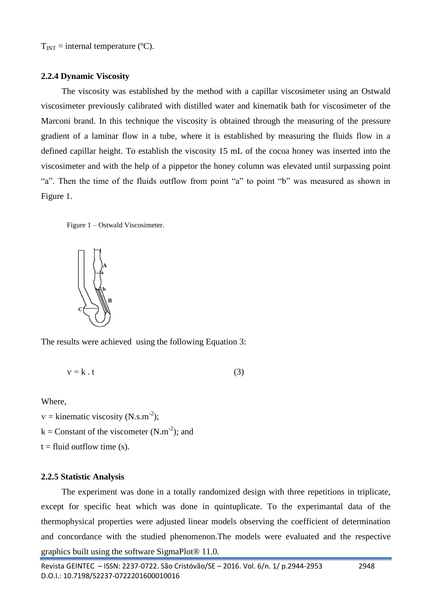$T_{INT}$  = internal temperature (°C).

### **2.2.4 Dynamic Viscosity**

The viscosity was established by the method with a capillar viscosimeter using an Ostwald viscosimeter previously calibrated with distilled water and kinematik bath for viscosimeter of the Marconi brand. In this technique the viscosity is obtained through the measuring of the pressure gradient of a laminar flow in a tube, where it is established by measuring the fluids flow in a defined capillar height. To establish the viscosity 15 mL of the cocoa honey was inserted into the viscosimeter and with the help of a pippetor the honey column was elevated until surpassing point "a". Then the time of the fluids outflow from point "a" to point "b" was measured as shown in Figure 1.

Figure 1 – Ostwald Viscosimeter.



The results were achieved using the following Equation 3:

$$
v = k \cdot t \tag{3}
$$

Where,

 $v =$  kinematic viscosity (N.s.m<sup>-2</sup>);

 $k =$  Constant of the viscometer (N.m<sup>-2</sup>); and

 $t =$  fluid outflow time (s).

### **2.2.5 Statistic Analysis**

The experiment was done in a totally randomized design with three repetitions in triplicate, except for specific heat which was done in quintuplicate. To the experimantal data of the thermophysical properties were adjusted linear models observing the coefficient of determination and concordance with the studied phenomenon.The models were evaluated and the respective graphics built using the software SigmaPlot® 11.0.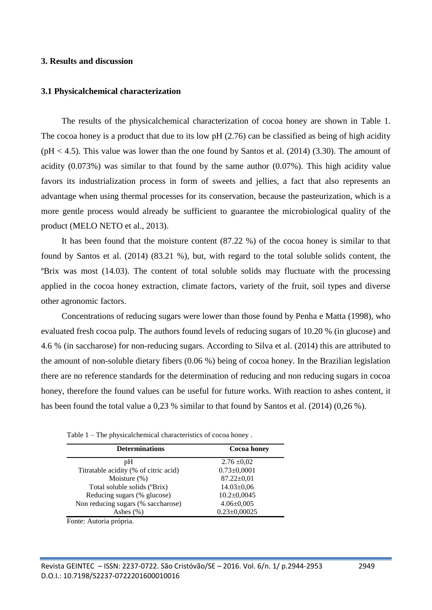#### **3. Results and discussion**

#### **3.1 Physicalchemical characterization**

The results of the physicalchemical characterization of cocoa honey are shown in Table 1. The cocoa honey is a product that due to its low pH (2.76) can be classified as being of high acidity  $pH < 4.5$ ). This value was lower than the one found by Santos et al. (2014) (3.30). The amount of acidity (0.073%) was similar to that found by the same author (0.07%). This high acidity value favors its industrialization process in form of sweets and jellies, a fact that also represents an advantage when using thermal processes for its conservation, because the pasteurization, which is a more gentle process would already be sufficient to guarantee the microbiological quality of the product (MELO NETO et al., 2013).

It has been found that the moisture content (87.22 %) of the cocoa honey is similar to that found by Santos et al. (2014) (83.21 %), but, with regard to the total soluble solids content, the ºBrix was most (14.03). The content of total soluble solids may fluctuate with the processing applied in the cocoa honey extraction, climate factors, variety of the fruit, soil types and diverse other agronomic factors.

Concentrations of reducing sugars were lower than those found by Penha e Matta (1998), who evaluated fresh cocoa pulp. The authors found levels of reducing sugars of 10.20 % (in glucose) and 4.6 % (in saccharose) for non-reducing sugars. According to Silva et al. (2014) this are attributed to the amount of non-soluble dietary fibers (0.06 %) being of cocoa honey. In the Brazilian legislation there are no reference standards for the determination of reducing and non reducing sugars in cocoa honey, therefore the found values can be useful for future works. With reaction to ashes content, it has been found the total value a 0,23 % similar to that found by Santos et al. (2014) (0,26 %).

| <b>Determinations</b>                 | <b>Cocoa</b> honey |
|---------------------------------------|--------------------|
| рH                                    | $2.76 \pm 0.02$    |
| Titratable acidity (% of citric acid) | $0.73 \pm 0,0001$  |
| Moisture $(\%)$                       | $87.22 \pm 0.01$   |
| Total soluble solids (°Brix)          | $14.03 \pm 0.06$   |
| Reducing sugars (% glucose)           | $10.2 \pm 0,0045$  |
| Non reducing sugars (% saccharose)    | $4.06 \pm 0.005$   |
| Ashes $(\% )$                         | $0.23 \pm 0.00025$ |
| Fonte: Autoria própria.               |                    |

Table 1 – The physicalchemical characteristics of cocoa honey .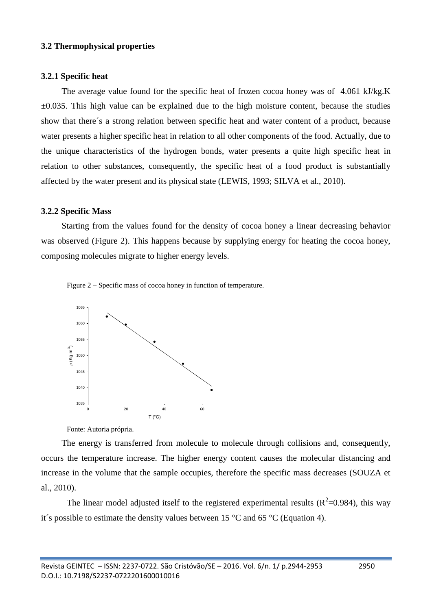#### **3.2 Thermophysical properties**

#### **3.2.1 Specific heat**

The average value found for the specific heat of frozen cocoa honey was of 4.061 kJ/kg.K  $\pm 0.035$ . This high value can be explained due to the high moisture content, because the studies show that there´s a strong relation between specific heat and water content of a product, because water presents a higher specific heat in relation to all other components of the food. Actually, due to the unique characteristics of the hydrogen bonds, water presents a quite high specific heat in relation to other substances, consequently, the specific heat of a food product is substantially affected by the water present and its physical state (LEWIS, 1993; SILVA et al., 2010).

### **3.2.2 Specific Mass**

Starting from the values found for the density of cocoa honey a linear decreasing behavior was observed (Figure 2). This happens because by supplying energy for heating the cocoa honey, composing molecules migrate to higher energy levels.





Fonte: Autoria própria.

The energy is transferred from molecule to molecule through collisions and, consequently, occurs the temperature increase. The higher energy content causes the molecular distancing and increase in the volume that the sample occupies, therefore the specific mass decreases (SOUZA et al., 2010).

The linear model adjusted itself to the registered experimental results ( $R^2$ =0.984), this way it's possible to estimate the density values between 15  $^{\circ}$ C and 65  $^{\circ}$ C (Equation 4).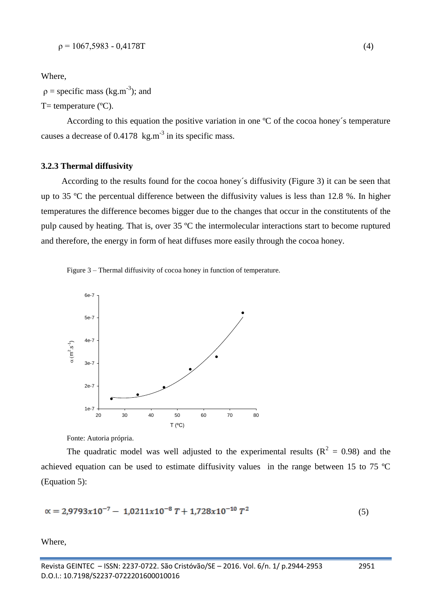Where,

 $p =$  specific mass (kg.m<sup>-3</sup>); and

 $T=$  temperature ( $^{\circ}$ C).

According to this equation the positive variation in one °C of the cocoa honey's temperature causes a decrease of  $0.4178$  kg.m<sup>-3</sup> in its specific mass.

### **3.2.3 Thermal diffusivity**

According to the results found for the cocoa honey´s diffusivity (Figure 3) it can be seen that up to 35 ºC the percentual difference between the diffusivity values is less than 12.8 %. In higher temperatures the difference becomes bigger due to the changes that occur in the constitutents of the pulp caused by heating. That is, over 35 ºC the intermolecular interactions start to become ruptured and therefore, the energy in form of heat diffuses more easily through the cocoa honey.





Fonte: Autoria própria.

The quadratic model was well adjusted to the experimental results ( $\mathbb{R}^2 = 0.98$ ) and the achieved equation can be used to estimate diffusivity values in the range between 15 to 75 ºC (Equation 5):

$$
\alpha = 2.9793x10^{-7} - 1.0211x10^{-8}T + 1.728x10^{-10}T^2 \tag{5}
$$

Where,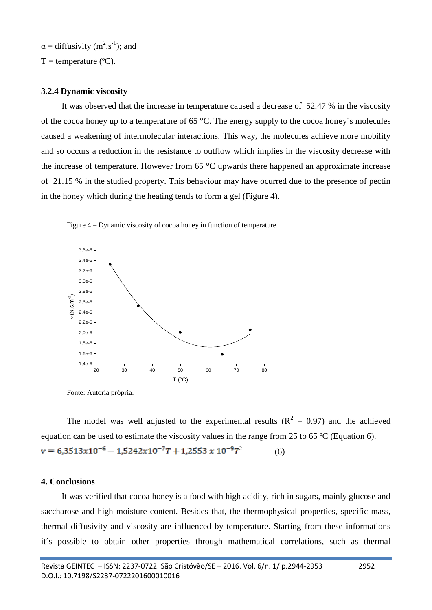$\alpha$  = diffusivity (m<sup>2</sup>.s<sup>-1</sup>); and

 $T =$  temperature ( $^{\circ}C$ ).

## **3.2.4 Dynamic viscosity**

It was observed that the increase in temperature caused a decrease of 52.47 % in the viscosity of the cocoa honey up to a temperature of 65 °C. The energy supply to the cocoa honey´s molecules caused a weakening of intermolecular interactions. This way, the molecules achieve more mobility and so occurs a reduction in the resistance to outflow which implies in the viscosity decrease with the increase of temperature. However from 65 °C upwards there happened an approximate increase of 21.15 % in the studied property. This behaviour may have ocurred due to the presence of pectin in the honey which during the heating tends to form a gel (Figure 4).



Figure 4 – Dynamic viscosity of cocoa honey in function of temperature.

Fonte: Autoria própria.

The model was well adjusted to the experimental results ( $\mathbb{R}^2 = 0.97$ ) and the achieved equation can be used to estimate the viscosity values in the range from 25 to 65 ºC (Equation 6).  $v = 6,3513x10^{-6} - 1,5242x10^{-7}T + 1,2553 x 10^{-9}T^2$ (6)

# **4. Conclusions**

It was verified that cocoa honey is a food with high acidity, rich in sugars, mainly glucose and saccharose and high moisture content. Besides that, the thermophysical properties, specific mass, thermal diffusivity and viscosity are influenced by temperature. Starting from these informations it´s possible to obtain other properties through mathematical correlations, such as thermal